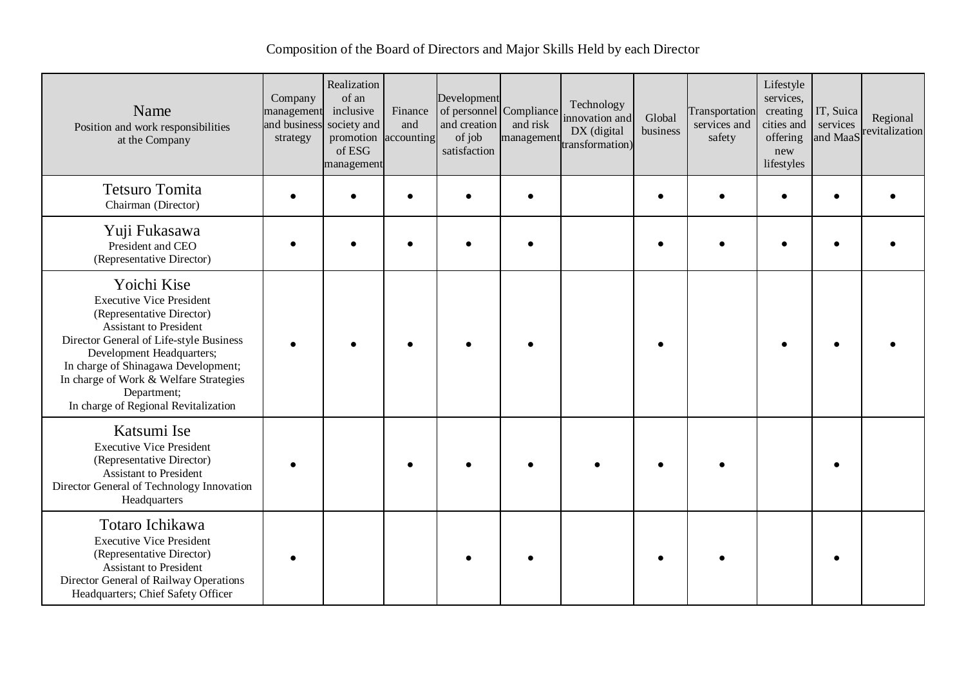## Composition of the Board of Directors and Major Skills Held by each Director

| Name<br>Position and work responsibilities<br>at the Company                                                                                                                                                                                                                                                                 | Company<br>management<br>and business<br>strategy | Realization<br>of an<br>inclusive<br>society and<br>promotion<br>of ESG<br>management | Finance<br>and<br>accounting | Development<br>of personnel Compliance<br>and creation<br>of job<br>satisfaction | and risk<br>management | Technology<br>innovation and<br>DX (digital<br>transformation) | Global<br>business | Transportation<br>services and<br>safety | Lifestyle<br>services,<br>creating<br>cities and<br>offering<br>new<br>lifestyles | IT, Suica<br>services<br>and MaaS | Regional<br>revitalization |
|------------------------------------------------------------------------------------------------------------------------------------------------------------------------------------------------------------------------------------------------------------------------------------------------------------------------------|---------------------------------------------------|---------------------------------------------------------------------------------------|------------------------------|----------------------------------------------------------------------------------|------------------------|----------------------------------------------------------------|--------------------|------------------------------------------|-----------------------------------------------------------------------------------|-----------------------------------|----------------------------|
| <b>Tetsuro Tomita</b><br>Chairman (Director)                                                                                                                                                                                                                                                                                 |                                                   |                                                                                       |                              |                                                                                  |                        |                                                                |                    |                                          |                                                                                   |                                   |                            |
| Yuji Fukasawa<br>President and CEO<br>(Representative Director)                                                                                                                                                                                                                                                              |                                                   |                                                                                       |                              |                                                                                  |                        |                                                                |                    |                                          |                                                                                   |                                   |                            |
| Yoichi Kise<br><b>Executive Vice President</b><br>(Representative Director)<br><b>Assistant to President</b><br>Director General of Life-style Business<br>Development Headquarters;<br>In charge of Shinagawa Development;<br>In charge of Work & Welfare Strategies<br>Department;<br>In charge of Regional Revitalization |                                                   |                                                                                       |                              |                                                                                  |                        |                                                                |                    |                                          |                                                                                   |                                   |                            |
| Katsumi Ise<br><b>Executive Vice President</b><br>(Representative Director)<br><b>Assistant to President</b><br>Director General of Technology Innovation<br>Headquarters                                                                                                                                                    |                                                   |                                                                                       |                              |                                                                                  |                        |                                                                |                    |                                          |                                                                                   |                                   |                            |
| Totaro Ichikawa<br><b>Executive Vice President</b><br>(Representative Director)<br><b>Assistant to President</b><br>Director General of Railway Operations<br>Headquarters; Chief Safety Officer                                                                                                                             |                                                   |                                                                                       |                              |                                                                                  |                        |                                                                |                    |                                          |                                                                                   |                                   |                            |